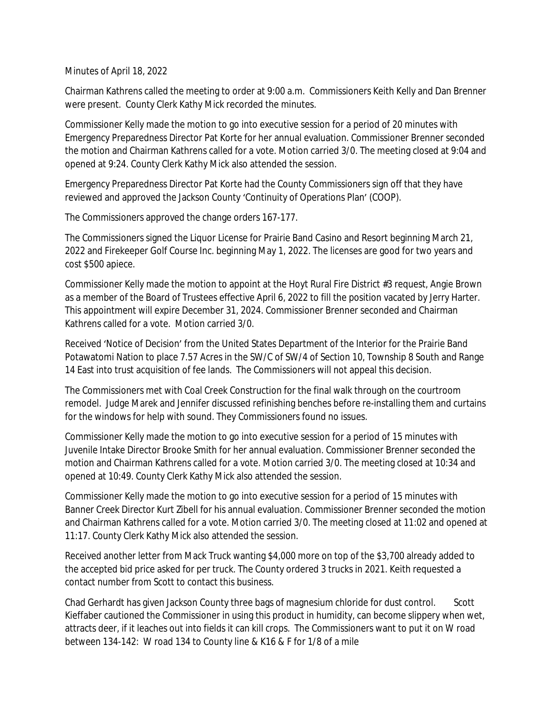Minutes of April 18, 2022

Chairman Kathrens called the meeting to order at 9:00 a.m. Commissioners Keith Kelly and Dan Brenner were present. County Clerk Kathy Mick recorded the minutes.

Commissioner Kelly made the motion to go into executive session for a period of 20 minutes with Emergency Preparedness Director Pat Korte for her annual evaluation. Commissioner Brenner seconded the motion and Chairman Kathrens called for a vote. Motion carried 3/0. The meeting closed at 9:04 and opened at 9:24. County Clerk Kathy Mick also attended the session.

Emergency Preparedness Director Pat Korte had the County Commissioners sign off that they have reviewed and approved the Jackson County 'Continuity of Operations Plan' (COOP).

The Commissioners approved the change orders 167-177.

The Commissioners signed the Liquor License for Prairie Band Casino and Resort beginning March 21, 2022 and Firekeeper Golf Course Inc. beginning May 1, 2022. The licenses are good for two years and cost \$500 apiece.

Commissioner Kelly made the motion to appoint at the Hoyt Rural Fire District #3 request, Angie Brown as a member of the Board of Trustees effective April 6, 2022 to fill the position vacated by Jerry Harter. This appointment will expire December 31, 2024. Commissioner Brenner seconded and Chairman Kathrens called for a vote. Motion carried 3/0.

Received 'Notice of Decision' from the United States Department of the Interior for the Prairie Band Potawatomi Nation to place 7.57 Acres in the SW/C of SW/4 of Section 10, Township 8 South and Range 14 East into trust acquisition of fee lands. The Commissioners will not appeal this decision.

The Commissioners met with Coal Creek Construction for the final walk through on the courtroom remodel. Judge Marek and Jennifer discussed refinishing benches before re-installing them and curtains for the windows for help with sound. They Commissioners found no issues.

Commissioner Kelly made the motion to go into executive session for a period of 15 minutes with Juvenile Intake Director Brooke Smith for her annual evaluation. Commissioner Brenner seconded the motion and Chairman Kathrens called for a vote. Motion carried 3/0. The meeting closed at 10:34 and opened at 10:49. County Clerk Kathy Mick also attended the session.

Commissioner Kelly made the motion to go into executive session for a period of 15 minutes with Banner Creek Director Kurt Zibell for his annual evaluation. Commissioner Brenner seconded the motion and Chairman Kathrens called for a vote. Motion carried 3/0. The meeting closed at 11:02 and opened at 11:17. County Clerk Kathy Mick also attended the session.

Received another letter from Mack Truck wanting \$4,000 more on top of the \$3,700 already added to the accepted bid price asked for per truck. The County ordered 3 trucks in 2021. Keith requested a contact number from Scott to contact this business.

Chad Gerhardt has given Jackson County three bags of magnesium chloride for dust control. Scott Kieffaber cautioned the Commissioner in using this product in humidity, can become slippery when wet, attracts deer, if it leaches out into fields it can kill crops. The Commissioners want to put it on W road between 134-142: W road 134 to County line & K16 & F for 1/8 of a mile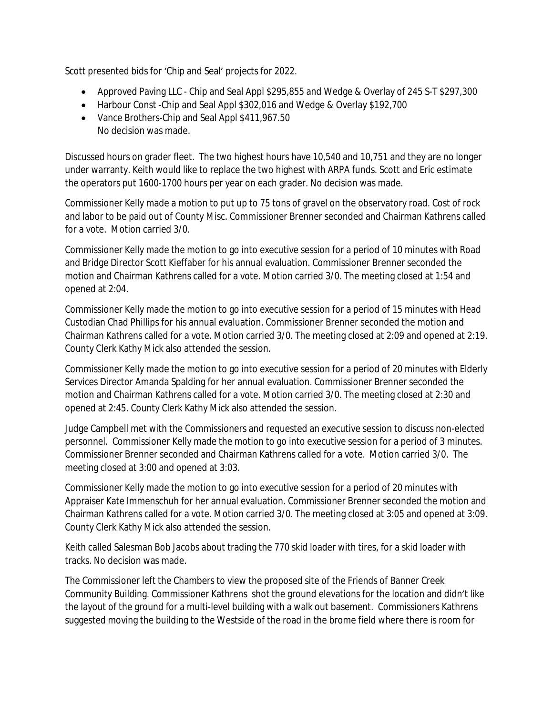Scott presented bids for 'Chip and Seal' projects for 2022.

- Approved Paving LLC Chip and Seal Appl \$295,855 and Wedge & Overlay of 245 S-T \$297,300
- Harbour Const -Chip and Seal Appl \$302,016 and Wedge & Overlay \$192,700
- Vance Brothers-Chip and Seal Appl \$411,967.50 No decision was made.

Discussed hours on grader fleet. The two highest hours have 10,540 and 10,751 and they are no longer under warranty. Keith would like to replace the two highest with ARPA funds. Scott and Eric estimate the operators put 1600-1700 hours per year on each grader. No decision was made.

Commissioner Kelly made a motion to put up to 75 tons of gravel on the observatory road. Cost of rock and labor to be paid out of County Misc. Commissioner Brenner seconded and Chairman Kathrens called for a vote. Motion carried 3/0.

Commissioner Kelly made the motion to go into executive session for a period of 10 minutes with Road and Bridge Director Scott Kieffaber for his annual evaluation. Commissioner Brenner seconded the motion and Chairman Kathrens called for a vote. Motion carried 3/0. The meeting closed at 1:54 and opened at 2:04.

Commissioner Kelly made the motion to go into executive session for a period of 15 minutes with Head Custodian Chad Phillips for his annual evaluation. Commissioner Brenner seconded the motion and Chairman Kathrens called for a vote. Motion carried 3/0. The meeting closed at 2:09 and opened at 2:19. County Clerk Kathy Mick also attended the session.

Commissioner Kelly made the motion to go into executive session for a period of 20 minutes with Elderly Services Director Amanda Spalding for her annual evaluation. Commissioner Brenner seconded the motion and Chairman Kathrens called for a vote. Motion carried 3/0. The meeting closed at 2:30 and opened at 2:45. County Clerk Kathy Mick also attended the session.

Judge Campbell met with the Commissioners and requested an executive session to discuss non-elected personnel. Commissioner Kelly made the motion to go into executive session for a period of 3 minutes. Commissioner Brenner seconded and Chairman Kathrens called for a vote. Motion carried 3/0. The meeting closed at 3:00 and opened at 3:03.

Commissioner Kelly made the motion to go into executive session for a period of 20 minutes with Appraiser Kate Immenschuh for her annual evaluation. Commissioner Brenner seconded the motion and Chairman Kathrens called for a vote. Motion carried 3/0. The meeting closed at 3:05 and opened at 3:09. County Clerk Kathy Mick also attended the session.

Keith called Salesman Bob Jacobs about trading the 770 skid loader with tires, for a skid loader with tracks. No decision was made.

The Commissioner left the Chambers to view the proposed site of the Friends of Banner Creek Community Building. Commissioner Kathrens shot the ground elevations for the location and didn't like the layout of the ground for a multi-level building with a walk out basement. Commissioners Kathrens suggested moving the building to the Westside of the road in the brome field where there is room for